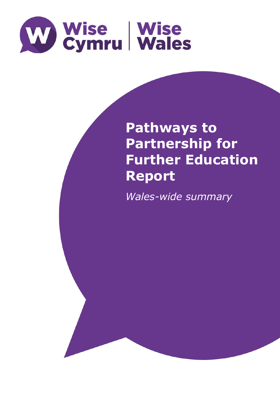

# **Pathways to Partnership for Further Education Report**

*Wales-wide summary*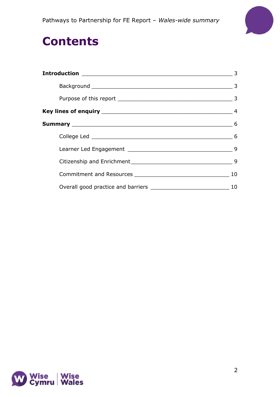

## **Contents**

| 3  |
|----|
|    |
|    |
|    |
|    |
|    |
|    |
|    |
| 10 |
| 10 |

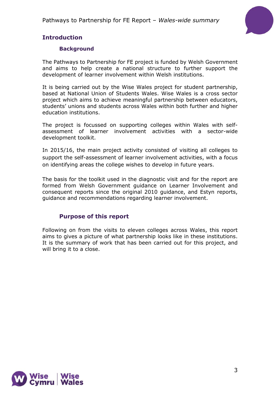Pathways to Partnership for FE Report – *Wales-wide summary*



## <span id="page-2-1"></span><span id="page-2-0"></span>**Introduction**

## **Background**

The Pathways to Partnership for FE project is funded by Welsh Government and aims to help create a national structure to further support the development of learner involvement within Welsh institutions.

It is being carried out by the Wise Wales project for student partnership, based at National Union of Students Wales. Wise Wales is a cross sector project which aims to achieve meaningful partnership between educators, students' unions and students across Wales within both further and higher education institutions.

The project is focussed on supporting colleges within Wales with selfassessment of learner involvement activities with a sector-wide development toolkit.

In 2015/16, the main project activity consisted of visiting all colleges to support the self-assessment of learner involvement activities, with a focus on identifying areas the college wishes to develop in future years.

The basis for the toolkit used in the diagnostic visit and for the report are formed from Welsh Government guidance on Learner Involvement and consequent reports since the original 2010 guidance, and Estyn reports, guidance and recommendations regarding learner involvement.

## <span id="page-2-2"></span>**Purpose of this report**

Following on from the visits to eleven colleges across Wales, this report aims to gives a picture of what partnership looks like in these institutions. It is the summary of work that has been carried out for this project, and will bring it to a close.

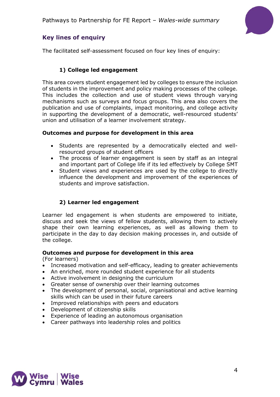

## <span id="page-3-0"></span>**Key lines of enquiry**

The facilitated self-assessment focused on four key lines of enquiry:

## **1) College led engagement**

This area covers student engagement led by colleges to ensure the inclusion of students in the improvement and policy making processes of the college. This includes the collection and use of student views through varying mechanisms such as surveys and focus groups. This area also covers the publication and use of complaints, impact monitoring, and college activity in supporting the development of a democratic, well-resourced students' union and utilisation of a learner involvement strategy.

## **Outcomes and purpose for development in this area**

- Students are represented by a democratically elected and wellresourced groups of student officers
- The process of learner engagement is seen by staff as an integral and important part of College life if its led effectively by College SMT
- Student views and experiences are used by the college to directly influence the development and improvement of the experiences of students and improve satisfaction.

## **2) Learner led engagement**

Learner led engagement is when students are empowered to initiate, discuss and seek the views of fellow students, allowing them to actively shape their own learning experiences, as well as allowing them to participate in the day to day decision making processes in, and outside of the college.

### **Outcomes and purpose for development in this area**

(For learners)

- Increased motivation and self-efficacy, leading to greater achievements
- An enriched, more rounded student experience for all students
- Active involvement in designing the curriculum
- Greater sense of ownership over their learning outcomes
- The development of personal, social, organisational and active learning skills which can be used in their future careers
- Improved relationships with peers and educators
- Development of citizenship skills
- Experience of leading an autonomous organisation
- Career pathways into leadership roles and politics

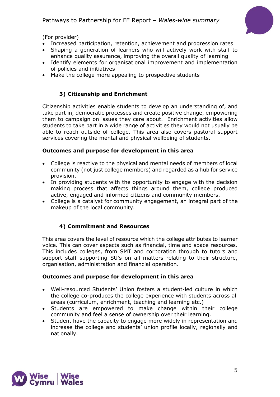

(For provider)

- Increased participation, retention, achievement and progression rates
- Shaping a generation of learners who will actively work with staff to enhance quality assurance, improving the overall quality of learning
- Identify elements for organisational improvement and implementation of policies and initiatives
- Make the college more appealing to prospective students

## **3) Citizenship and Enrichment**

Citizenship activities enable students to develop an understanding of, and take part in, democratic processes and create positive change, empowering them to campaign on issues they care about. Enrichment activities allow students to take part in a wide range of activities they would not usually be able to reach outside of college. This area also covers pastoral support services covering the mental and physical wellbeing of students.

## **Outcomes and purpose for development in this area**

- College is reactive to the physical and mental needs of members of local community (not just college members) and regarded as a hub for service provision.
- In providing students with the opportunity to engage with the decision making process that affects things around them, college produced active, engaged and informed citizens and community members.
- College is a catalyst for community engagement, an integral part of the makeup of the local community.

## **4) Commitment and Resources**

This area covers the level of resource which the college attributes to learner voice. This can cover aspects such as financial, time and space resources. This includes colleges, from SMT and corporation through to tutors and support staff supporting SU's on all matters relating to their structure, organisation, administration and financial operation.

## **Outcomes and purpose for development in this area**

- Well-resourced Students' Union fosters a student-led culture in which the college co-produces the college experience with students across all areas (curriculum, enrichment, teaching and learning etc.)
- Students are empowered to make change within their college community and feel a sense of ownership over their learning.
- Student have the capacity to engage more widely in representation and increase the college and students' union profile locally, regionally and nationally.

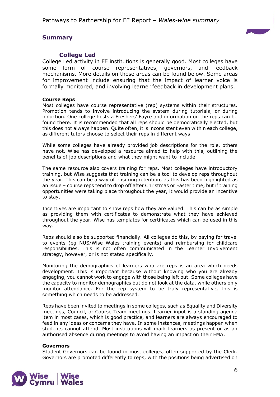

## <span id="page-5-0"></span>**Summary**

## <span id="page-5-1"></span>**College Led**

College Led activity in FE institutions is generally good. Most colleges have some form of course representatives, governors, and feedback mechanisms. More details on these areas can be found below. Some areas for improvement include ensuring that the impact of learner voice is formally monitored, and involving learner feedback in development plans.

#### **Course Reps**

Most colleges have course representative (rep) systems within their structures. Promotion tends to involve introducing the system during tutorials, or during induction. One college hosts a Freshers' Fayre and information on the reps can be found there. It is recommended that all reps should be democratically elected, but this does not always happen. Quite often, it is inconsistent even within each college, as different tutors choose to select their reps in different ways.

While some colleges have already provided job descriptions for the role, others have not. Wise has developed a resource aimed to help with this, outlining the benefits of job descriptions and what they might want to include.

The same resource also covers training for reps. Most colleges have introductory training, but Wise suggests that training can be a tool to develop reps throughout the year. This can be a way of ensuring retention, as this has been highlighted as an issue – course reps tend to drop off after Christmas or Easter time, but if training opportunities were taking place throughout the year, it would provide an incentive to stay.

Incentives are important to show reps how they are valued. This can be as simple as providing them with certificates to demonstrate what they have achieved throughout the year. Wise has templates for certificates which can be used in this way.

Reps should also be supported financially. All colleges do this, by paying for travel to events (eg NUS/Wise Wales training events) and reimbursing for childcare responsibilities. This is not often communicated in the Learner Involvement strategy, however, or is not stated specifically.

Monitoring the demographics of learners who are reps is an area which needs development. This is important because without knowing who you are already engaging, you cannot work to engage with those being left out. Some colleges have the capacity to monitor demographics but do not look at the data, while others only monitor attendance. For the rep system to be truly representative, this is something which needs to be addressed.

Reps have been invited to meetings in some colleges, such as Equality and Diversity meetings, Council, or Course Team meetings. Learner input is a standing agenda item in most cases, which is good practice, and learners are always encouraged to feed in any ideas or concerns they have. In some instances, meetings happen when students cannot attend. Most institutions will mark learners as present or as an authorised absence during meetings to avoid having an impact on their EMA.

#### **Governors**

Student Governors can be found in most colleges, often supported by the Clerk. Governors are promoted differently to reps, with the positions being advertised on

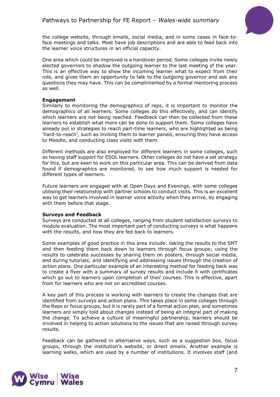

the college website, through emails, social media, and in some cases in face-toface meetings and talks. Most have job descriptions and are able to feed back into the learner voice structures in an official capacity.

One area which could be improved is a handover period. Some colleges invite newly elected governors to shadow the outgoing learner to the last meeting of the year. This is an effective way to show the incoming learner what to expect from their role, and gives them an opportunity to talk to the outgoing governor and ask any questions they may have. This can be complimented by a formal mentoring process as well.

#### **Engagement**

Similarly to monitoring the demographics of reps, it is important to monitor the demographics of all learners. Some colleges do this effectively, and can identify which learners are not being reached. Feedback can then be collected from these learners to establish what more can be done to support them. Some colleges have already put in strategies to reach part-time learners, who are highlighted as being 'hard-to-reach', such as inviting them to learner panels, ensuring they have access to Moodle, and conducting class visits with them.

Different methods are also employed for different learners in some colleges, such as having staff support for ESOL learners. Other colleges do not have a set strategy for this, but are keen to work on this particular area. This can be derived from data found if demographics are monitored, to see how much support is needed for different types of learners.

Future learners are engaged with at Open Days and Evenings, with some colleges utilising their relationship with partner schools to conduct visits. This is an excellent way to get learners involved in learner voice activity when they arrive, by engaging with them before that stage.

#### **Surveys and Feedback**

Surveys are conducted at all colleges, ranging from student satisfaction surveys to module evaluation. The most important part of conducting surveys is what happens with the results, and how they are fed back to learners.

Some examples of good practice in this area include: taking the results to the SMT and then feeding them back down to learners through focus groups; using the results to celebrate successes by sharing them on posters, through social media, and during tutorials; and identifying and addressing issues through the creation of action plans. One particular example of an interesting method for feeding back was to create a flyer with a summary of survey results and include it with certificates which go out to learners upon completion of their courses. This is effective, apart from for learners who are not on accredited courses.

A key part of this process is working with learners to create the changes that are identified from surveys and action plans. This takes place in some colleges through the Reps or focus groups, but it is rarely part of a formal action plan, and sometimes learners are simply told about changes instead of being an integral part of making the change. To achieve a culture of meaningful partnership, learners should be involved in helping to action solutions to the issues that are raised through survey results.

Feedback can be gathered in alternative ways, such as a suggestion box, focus groups, through the institution's website, or direct emails. Another example is learning walks, which are used by a number of institutions. It involves staff (and

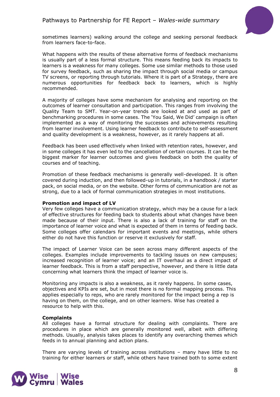

sometimes learners) walking around the college and seeking personal feedback from learners face-to-face.

What happens with the results of these alternative forms of feedback mechanisms is usually part of a less formal structure. This means feeding back its impacts to learners is a weakness for many colleges. Some use similar methods to those used for survey feedback, such as sharing the impact through social media or campus TV screens, or reporting through tutorials. Where it is part of a Strategy, there are numerous opportunities for feedback back to learners, which is highly recommended.

A majority of colleges have some mechanism for analysing and reporting on the outcomes of learner consultation and participation. This ranges from involving the Quality Team to SMT. Year-on-year trends are looked at and used as part of benchmarking procedures in some cases. The 'You Said, We Did' campaign is often implemented as a way of monitoring the successes and achievements resulting from learner involvement. Using learner feedback to contribute to self-assessment and quality development is a weakness, however, as it rarely happens at all.

Feedback has been used effectively when linked with retention rates, however, and in some colleges it has even led to the cancellation of certain courses. It can be the biggest marker for learner outcomes and gives feedback on both the quality of courses and of teaching.

Promotion of these feedback mechanisms is generally well-developed. It is often covered during induction, and then followed-up in tutorials, in a handbook / starter pack, on social media, or on the website. Other forms of communication are not as strong, due to a lack of formal communication strategies in most institutions.

#### **Promotion and impact of LV**

Very few colleges have a communication strategy, which may be a cause for a lack of effective structures for feeding back to students about what changes have been made because of their input. There is also a lack of training for staff on the importance of learner voice and what is expected of them in terms of feeding back. Some colleges offer calendars for important events and meetings, while others either do not have this function or reserve it exclusively for staff.

The impact of Learner Voice can be seen across many different aspects of the colleges. Examples include improvements to tackling issues on new campuses; increased recognition of learner voice; and an IT overhaul as a direct impact of learner feedback. This is from a staff perspective, however, and there is little data concerning what learners think the impact of learner voice is.

Monitoring any impacts is also a weakness, as it rarely happens. In some cases, objectives and KPIs are set, but in most there is no formal mapping process. This applies especially to reps, who are rarely monitored for the impact being a rep is having on them, on the college, and on other learners. Wise has created a resource to help with this.

#### **Complaints**

All colleges have a formal structure for dealing with complaints. There are procedures in place which are generally monitored well, albeit with differing methods. Usually, analysis takes places to identify any overarching themes which feeds in to annual planning and action plans.

There are varying levels of training across institutions – many have little to no training for either learners or staff, while others have trained both to some extent

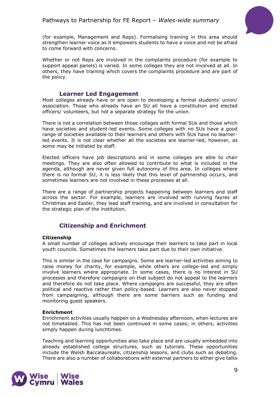

(for example, Management and Reps). Formalising training in this area should strengthen learner voice as it empowers students to have a voice and not be afraid to come forward with concerns.

Whether or not Reps are involved in the complaints procedure (for example to support appeal panels) is varied. In some colleges they are not involved at all. In others, they have training which covers the complaints procedure and are part of the policy.

#### <span id="page-8-0"></span>**Learner Led Engagement**

Most colleges already have or are open to developing a formal students' union/ association. Those who already have an SU all have a constitution and elected officers/ volunteers, but not a separate strategy for the union.

There is not a correlation between those colleges with formal SUs and those which have societies and student-led events. Some colleges with no SUs have a good range of societies available to their learners and others with SUs have no learnerled events. It is not clear whether all the societies are learner-led, however, as some may be initiated by staff.

Elected officers have job descriptions and in some colleges are able to chair meetings. They are also often allowed to contribute to what is included in the agenda, although are never given full autonomy of this area. In colleges where there is no formal SU, it is less likely that this level of partnership occurs, and sometimes learners are not involved in these processes at all.

There are a range of partnership projects happening between learners and staff across the sector. For example, learners are involved with running fayres at Christmas and Easter, they lead staff training, and are involved in consultation for the strategic plan of the institution.

## <span id="page-8-1"></span>**Citizenship and Enrichment**

#### **Citizenship**

A small number of colleges actively encourage their learners to take part in local youth councils. Sometimes the learners take part due to their own initiative.

This is similar in the case for campaigns. Some are learner-led activities aiming to raise money for charity, for example, while others are college-led and simply involve learners where appropriate. In some cases, there is no interest in SU processes and therefore campaigns on that subject do not appeal to the learners and therefore do not take place. Where campaigns are successful, they are often political and reactive rather than policy-based. Learners are also never stopped from campaigning, although there are some barriers such as funding and monitoring guest speakers.

#### **Enrichment**

Enrichment activities usually happen on a Wednesday afternoon, when lectures are not timetabled. This has not been continued in some cases; in others, activities simply happen during lunchtimes.

Teaching and learning opportunities also take place and are usually embedded into already established college structures, such as tutorials. These opportunities include the Welsh Baccalaureate, citizenship lessons, and clubs such as debating. There are also a number of collaborations with external partners to either give talks